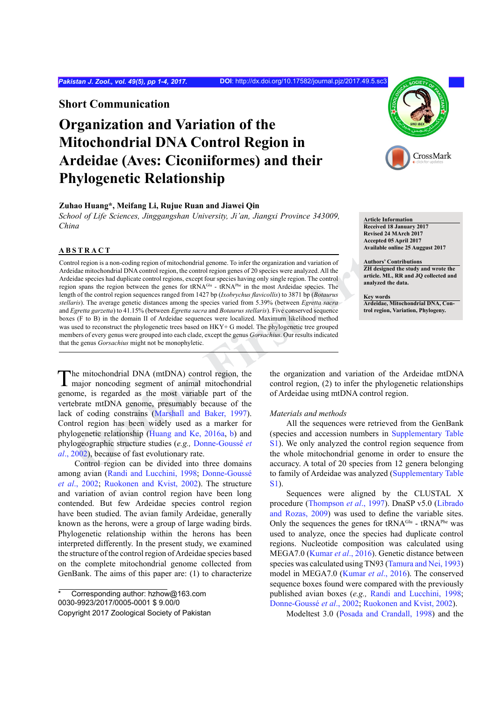## **Short Communication**

## **Organization and Variation of the Mitochondrial DNA Control Region in Ardeidae (Aves: Ciconiiformes) and their Phylogenetic Relationship**

## **Zuhao Huang\*, Meifang Li, Rujue Ruan and Jiawei Qin**

*School of Life Sciences, Jinggangshan University, Ji'an, Jiangxi Province 343009, China*

## **ABSTRACT**

Ta<br> **STRACT**<br> **Exerised 18 AMnuery 2017**<br> **Exerised 18 AMnuery 2017**<br> **Exerised B4 AMnuery 2017**<br> **Accepted 68 Apri[l](#page-3-1) 2017**<br>
Accepted 68 April 2017<br>
Accepted B4 AM-crea<br> **Conserved B4 AM-crea**<br> **Conserved B4 AM-crea<br>
<b>Cons** Control region is a non-coding region of mitochondrial genome. To infer the organization and variation of Ardeidae mitochondrial DNA control region, the control region genes of 20 species were analyzed. All the Ardeidae species had duplicate control regions, except four species having only single region. The control region spans the region between the genes for tRNAGlu - tRNAPhe in the most Ardeidae species. The length of the control region sequences ranged from 1427 bp (*Ixobrychus flavicollis*) to 3871 bp (*Botaurus stellaris*). The average genetic distances among the species varied from 5.39% (between *Egretta sacra*  and *Egretta garzetta*) to 41.15% (between *Egretta sacra* and *Botaurus stellaris*). Five conserved sequence boxes (F to B) in the domain II of Ardeidae sequences were localized. Maximum likelihood method was used to reconstruct the phylogenetic trees based on HKY+ G model. The phylogenetic tree grouped members of every genus were grouped into each clade, except the genus *Gorsachius*. Our results indicated that the genus *Gorsachius* might not be monophyletic.



**Article Information Received 18 January 2017 Revised 24 MArch 2017 Accepted 05 April 2017 Available online 25 Auggust 2017**

**Authors' Contributions ZH designed the study and wrote the article. ML, RR and JQ collected and analyzed the data.**

**Key words Ardeidae, Mitochondrial DNA, Control region, Variation, Phylogeny.**

The mitochondrial DNA (mtDNA) control region, the major noncoding segment of animal mitochondrial genome, is regarded as the most variable part of the vertebrate mtDNA genome, presumably because of the lack of coding constrains (Marshall and Baker, 1997). Control region has been widely used as a marker for phylogenetic relationship (Huang and Ke, 2016a, b) and phylogeographic structure studies (*e.g.,* Donne-Goussé *et al*., 2002), because of fast evolutionary rate.

Control region can be divided into three domains among avian [\(Randi and Lucchini, 1998](#page-3-3); Donne-Goussé *et al*., 2002; [Ruokonen and Kvist, 2002\)](#page-3-4). The structure and variation of avian control region have been long contended. But few Ardeidae species control region have been studied. The avian family Ardeidae, generally known as the herons, were a group of large wading birds. Phylogenetic relationship within the herons has been interpreted differently. In the present study, we examined the structure of the control region of Ardeidae species based on the complete mitochondrial genome collected from GenBank. The aims of this paper are: (1) to characterize

the organization and variation of the Ardeidae mtDNA control region, (2) to infer the phylogenetic relationships of Ardeidae using mtDNA control region.

#### *Materials and methods*

All the sequences were retrieved from the GenBank (species and accession numbers in [Supplementary Table](#page-3-5) S1). We only analyzed the control region sequence from the whole mitochondrial genome in order to ensure the accuracy. A total of 20 species from 12 genera belonging to family of Ardeidae was analyzed ([Supplementary Table](#page-3-5) [S1\)](#page-3-5).

Sequences were aligned by the CLUSTAL X procedure [\(Thompson](#page-3-6) *et al*., 1997). DnaSP v5.0 ([Librado](#page-3-7) [and Rozas, 2009](#page-3-7)) was used to define the variable sites. Only the sequences the genes for  $tRNA^{Glu}$  -  $tRNA^{Phe}$  was used to analyze, once the species had duplicate control regions. Nucleotide composition was calculated using MEGA7.0 ([Kumar](#page-3-8) *et al*., 2016). Genetic distance between species was calculated using TN93 ([Tamura and Nei, 1993](#page-3-6)) model in MEGA7.0 [\(Kumar](#page-3-8) *et al*., 2016). The conserved sequence boxes found were compared with the previously published avian boxes (*e.g.,* [Randi and Lucchini, 1998;](#page-3-3) Donne-Goussé *et al*., 2002; [Ruokonen and Kvist, 2002](#page-3-4)).

Modeltest 3.0 [\(Posada and Crandall, 1998\)](#page-3-9) and the

Corresponding author: hzhow@163.com 0030-9923/2017/0005-0001 \$ 9.00/0 Copyright 2017 Zoological Society of Pakistan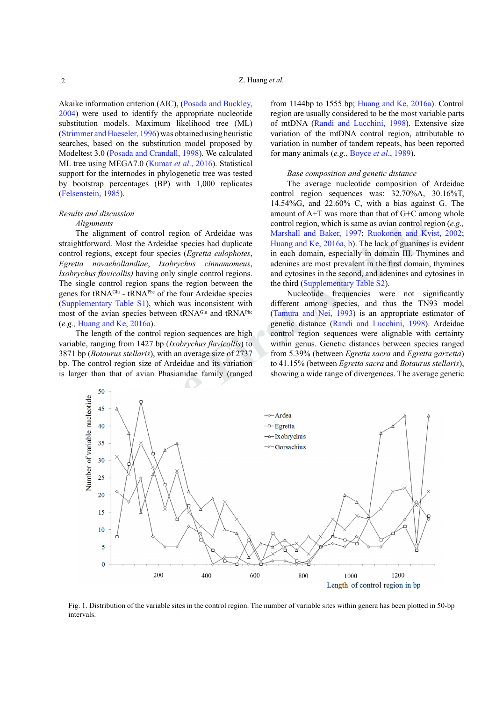Akaike information criterion (AIC), [\(Posada and Buckley,](#page-3-10) [2004\)](#page-3-10) were used to identify the appropriate nucleotide substitution models. Maximum likelihood tree (ML) [\(Strimmer and Haeseler, 1996\)](#page-3-11) was obtained using heuristic searches, based on the substitution model proposed by Modeltest 3.0 ([Posada and Crandall, 1998\)](#page-3-9). We calculated ML tree using MEGA7.0 ([Kumar](#page-3-8) *et al*., 2016). Statistical support for the internodes in phylogenetic tree was tested by bootstrap percentages (BP) with 1,000 replicates [\(Felsenstein, 1985](#page-3-12)).

## *Results and discussion*

### *Alignments*

The alignment of control region of Ardeidae was straightforward. Most the Ardeidae species had duplicate control regions, except four species (*Egretta eulophotes*, *Egretta novaehollandiae*, *Ixobrychus cinnamomeus*, *Ixobrychus flavicollis)* having only single control regions. The single control region spans the region between the genes for tRNAGlu - tRNAPhe of the four Ardeidae species (Supplementary Table S1), which was inconsistent with most of the avian species between tRNA<sup>Glu</sup> and tRNA<sup>Phe</sup> (*e.g.,* Huang and Ke, 2016a).

The length of the control region sequences are high variable, ranging from 1427 bp (*Ixobrychus flavicollis*) to 3871 bp (*Botaurus stellaris*), with an average size of 2737 bp. The control region size of Ardeidae and its variation is larger than that of avian Phasianidae family (ranged

from 1144bp to 1555 bp; [Huang and Ke, 2016a\)](#page-3-1). Control region are usually considered to be the most variable parts of mtDNA [\(Randi and Lucchini, 1998](#page-3-3)). Extensive size variation of the mtDNA control region, attributable to variation in number of tandem repeats, has been reported for many animals (*e.g*., [Boyce](#page-3-13) *et al*., 1989).

#### *Base composition and genetic distance*

The average nucleotide composition of Ardeidae control region sequences was: 32.70%A, 30.16%T, 14.54%G, and 22.60% C, with a bias against G. The amount of A+T was more than that of G+C among whole control region, which is same as avian control region (*e.g.,* Marshall and Baker, 1997; Ruokonen and Kvist, 2002; Huang and Ke, 2016a, b). The lack of guanines is evident in each domain, especially in domain III. Thymines and adenines are most prevalent in the first domain, thymines and cytosines in the second, and adenines and cytosines in the third (Supplementary Table S2).

Nucleotide frequencies were not significantly different among species, and thus the TN93 model (Tamura and Nei, 1993) is an appropriate estimator of genetic distance (Randi and Lucchini, 1998). Ardeidae control region sequences were alignable with certainty within genus. Genetic distances between species ranged from 5.39% (between *Egretta sacra* and *Egretta garzetta*) to 41.15% (between *Egretta sacra* and *Botaurus stellaris*), showing a wide range of divergences. The average genetic



<span id="page-1-0"></span>Fig. 1. Distribution of the variable sites in the control region. The number of variable sites within genera has been plotted in 50-bp intervals.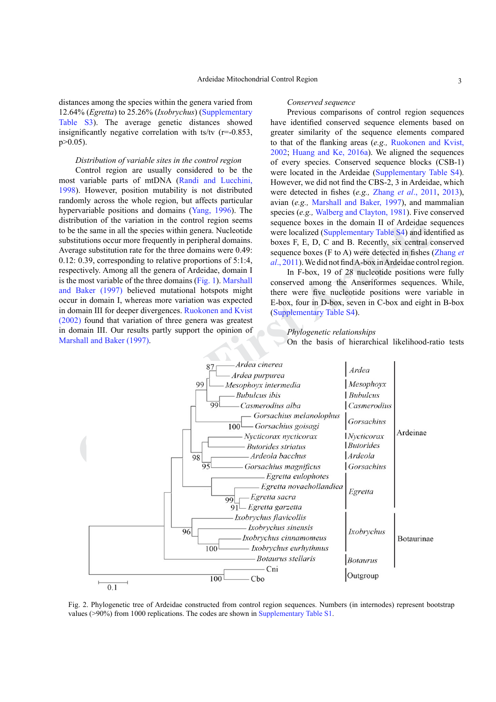distances among the species within the genera varied from 12.64% (*Egretta*) to 25.26% (*Ixobrychus*) ([Supplementary](#page-3-5) [Table S3\)](#page-3-5). The average genetic distances showed insignificantly negative correlation with ts/tv  $(r=0.853)$ ,  $p > 0.05$ ).

#### *Distribution of variable sites in the control region*

Control region are usually considered to be the most variable parts of mtDNA ([Randi and Lucchini,](#page-3-3) [1998\)](#page-3-3). However, position mutability is not distributed randomly across the whole region, but affects particular hypervariable positions and domains [\(Yang, 1996\)](#page-3-14). The distribution of the variation in the control region seems to be the same in all the species within genera. Nucleotide substitutions occur more frequently in peripheral domains. Average substitution rate for the three domains were 0.49: 0.12: 0.39, corresponding to relative proportions of 5:1:4, respectively. Among all the genera of Ardeidae, domain I is the most variable of the three domains (Fig. 1). Marshall and Baker (1997) believed mutational hotspots might occur in domain I, whereas more variation was expected in domain III for deeper divergences. Ruokonen and Kvist [\(2002\)](#page-3-4) found that variation of three genera was greatest in domain III. Our results partly support the opinion of Marshall and Baker (1997).

#### *Conserved sequence*

Previous comparisons of control region sequences have identified conserved sequence elements based on greater similarity of the sequence elements compared to that of the flanking areas (*e.g.,* [Ruokonen and Kvist,](#page-3-4) [2002;](#page-3-4) [Huang and Ke, 2016a\)](#page-3-1). We aligned the sequences of every species. Conserved sequence blocks (CSB-1) were located in the Ardeidae ([Supplementary Table S4](#page-3-5)). However, we did not find the CBS-2, 3 in Ardeidae, which were detected in fishes (*e.g.,* Zhang *et al*[., 2011,](#page-3-15) [2013](#page-3-16)), avian (*e.g.,* [Marshall and Baker, 1997\)](#page-3-0), and mammalian species (*e.g.,* [Walberg and Clayton, 1981](#page-3-17)). Five conserved sequence boxes in the domain II of Ardeidae sequences were localized (Supplementary Table S4) and identified as boxes F, E, D, C and B. Recently, six central conserved sequence boxes (F to A) were detected in fishes ([Zhang](#page-3-15) *et al*., 2011). We did not find A-box in Ardeidae control region.

In F-box, 19 of 28 nucleotide positions were fully conserved among the Anseriformes sequences. While, there were five nucleotide positions were variable in E-box, four in D-box, seven in C-box and eight in B-box (Supplementary Table S4).

## *Phylogenetic relationships*

On the basis of hierarchical likelihood-ratio tests



<span id="page-2-0"></span>Fig. 2. Phylogenetic tree of Ardeidae constructed from control region sequences. Numbers (in internodes) represent bootstrap values (>90%) from 1000 replications. The codes are shown in [Supplementary Table S1.](#page-3-5)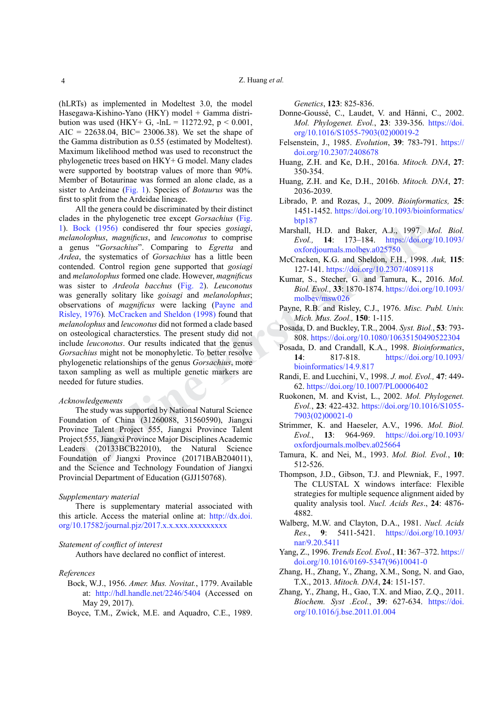(hLRTs) as implemented in Modeltest 3.0, the model Hasegawa-Kishino-Yano (HKY) model + Gamma distribution was used (HKY+ G,  $-lnL = 11272.92$ ,  $p < 0.001$ , AIC = 22638.04, BIC = 23006.38). We set the shape of the Gamma distribution as 0.55 (estimated by Modeltest). Maximum likelihood method was used to reconstruct the phylogenetic trees based on HKY+ G model. Many clades were supported by bootstrap values of more than 90%. Member of Botaurinae was formed an alone clade, as a sister to Ardeinae [\(Fig. 1](#page-1-0)). Species of *Botaurus* was the first to split from the Ardeidae lineage.

Bock (1956) condisered [t](https://doi.org/10.1093/molbev/msw026)hr four species *gosingi*. Marsha[l](https://doi.org/10.1093/oxfordjournals.molbev.a025750)l, H.D. and Baker, A.J., 1997. *M*<br>
mediophus, magnificus, and leucenonists to comprise<br>
errors. The systema[tic](https://doi.org/10.2307/4089118)s of Gorsacchius's comparing to *Figerta* and oxfordj All the genera could be discriminated by their distinct clades in the phylogenetic tree except *Gorsachius* [\(Fig.](#page-1-0) [1\)](#page-1-0). Bock (1956) condisered thr four species *gosiagi*, *melanolophus*, *magnificus*, and *leuconotus* to comprise a genus "*Gorsachius*". Comparing to *Egretta* and *Ardea*, the systematics of *Gorsachius* has a little been contended. Control region gene supported that *gosiagi* and *melanolophus* formed one clade. However, *magnificus*  was sister to *Ardeola bacchus* (Fig. 2). *Leuconotus*  was generally solitary like *goisagi* and *melanolophus*; observations of *magnificus* were lacking (Payne and [Risley, 1976](#page-3-19))*.* McCracken and Sheldon (1998) found that *melanolophus* and *leuconotus* did not formed a clade based on osteological characterstics. The present study did not include *leuconotus*. Our results indicated that the genus *Gorsachius* might not be monophyletic. To better resolve phylogenetic relationships of the genus *Gorsachius*, more taxon sampling as well as multiple genetic markers are needed for future studies.

#### *Acknowledgements*

The study was supported by National Natural Science Foundation of China (31260088, 31560590), Jiangxi Province Talent Project 555, Jiangxi Province Talent Project 555, Jiangxi Province Major Disciplines Academic Leaders (20133BCB22010), the Natural Science Foundation of Jiangxi Province (20171BAB204011), and the Science and Technology Foundation of Jiangxi Provincial Department of Education (GJJ150768).

#### <span id="page-3-5"></span>*Supplementary material*

There is supplementary material associated with this article. Access the material online at: http://dx.doi. org/10.17582/journal.pjz/2017.x.x.xxx.xxxxxxxxx

#### *Statement of conflict of interest*

Authors have declared no conflict of interest.

#### *References*

- <span id="page-3-18"></span>Bock, W.J., 1956. *Amer. Mus. Novitat.*, 1779. Available at: <http://hdl.handle.net/2246/5404> (Accessed on May 29, 2017).
- <span id="page-3-13"></span>Boyce, T.M., Zwick, M.E. and Aquadro, C.E., 1989.

*Genetics*, **123**: 825-836.

- Donne-Goussé, C., Laudet, V. and Hänni, C., 2002. *Mol. Phylogenet. Evol.*, **23**: 339-356. [https://doi.](https://doi.org/10.1016/S1055-7903(02)00019-2) [org/10.1016/S1055-7903\(02\)00019-2](https://doi.org/10.1016/S1055-7903(02)00019-2)
- <span id="page-3-12"></span>Felsenstein, J., 1985. *Evolution*, **39**: 783-791. [https://](https://doi.org/10.2307/2408678) [doi.org/10.2307/2408678](https://doi.org/10.2307/2408678)
- <span id="page-3-1"></span>Huang, Z.H. and Ke, D.H., 2016a. *Mitoch. DNA*, **27**: 350-354.
- <span id="page-3-2"></span>Huang, Z.H. and Ke, D.H., 2016b. *Mitoch. DNA*, **27**: 2036-2039.
- <span id="page-3-7"></span>Librado, P. and Rozas, J., 2009. *Bioinformatics,* **25**: 1451-1452. [https://doi.org/10.1093/bioinformatics/](https://doi.org/10.1093/bioinformatics/btp187) [btp187](https://doi.org/10.1093/bioinformatics/btp187)
- <span id="page-3-0"></span>Marshall, H.D. and Baker, A.J., 1997. *Mol. Biol. Evol.,* **14**: 173–184. [https://doi.org/10.1093/](https://doi.org/10.1093/oxfordjournals.molbev.a025750) oxfordjournals.molbev.a025750
- <span id="page-3-20"></span>McCracken, K.G. and Sheldon, F.H., 1998. *Auk,* **115**: 127-141. https://doi.org/10.2307/4089118
- <span id="page-3-8"></span>Kumar, S., Stecher, G. and Tamura, K., 2016. *Mol. Biol. Evol.,* **33**: 1870-1874. [https://doi.org/10.1093/](https://doi.org/10.1093/molbev/msw026) molbev/msw026
- <span id="page-3-19"></span>Payne, R.B. and Risley, C.J., 1976. *Misc. Publ. Univ. Mich. Mus. Zool.,* **150**: 1-115.
- <span id="page-3-10"></span>Posada, D. and Buckley, T.R., 2004. *Syst. Biol.*, **53**: 793- 808. https://doi.org/10.1080/10635150490522304
- <span id="page-3-9"></span>Posada, D. and Crandall, K.A., 1998. *Bioinformatics*, **14**: 817-818. [https://doi.org/10.1093/](https://doi.org/10.1093/bioinformatics/14.9.817) bioinformatics/14.9.817
- <span id="page-3-3"></span>Randi, E. and Lucchini, V., 1998. *J. mol. Evol.,* **47**: 449- 62. https://doi.org/10.1007/PL00006402
- <span id="page-3-4"></span>Ruokonen, M. and Kvist, L., 2002. *Mol. Phylogenet. Evol.*, **23**: 422-432. [https://doi.org/10.1016/S1055-](https://doi.org/10.1016/S1055-7903(02)00021-0) 7903(02)00021-0
- <span id="page-3-11"></span>Strimmer, K. and Haeseler, A.V., 1996. *Mol. Biol. Evol.*, **13**: 964-969. [https://doi.org/10.1093/](https://doi.org/10.1093/oxfordjournals.molbev.a025664) oxfordjournals.molbev.a025664
- <span id="page-3-6"></span>Tamura, K. and Nei, M., 1993. *Mol. Biol. Evol.*, **10**: 512-526.
- Thompson, J.D., Gibson, T.J. and Plewniak, F., 1997. The CLUSTAL X windows interface: Flexible strategies for multiple sequence alignment aided by quality analysis tool. *Nucl. Acids Res*., **24**: 4876- 4882.
- <span id="page-3-17"></span>Walberg, M.W. and Clayton, D.A., 1981. *Nucl. Acids Res.*, **9**: 5411-5421. [https://doi.org/10.1093/](https://doi.org/10.1093/nar/9.20.5411) [nar/9.20.5411](https://doi.org/10.1093/nar/9.20.5411)
- <span id="page-3-14"></span>Yang, Z., 1996. *Trends Ecol. Evol.*, **11**: 367–372. [https://](https://doi.org/10.1016/0169-5347(96)10041-0) [doi.org/10.1016/0169-5347\(96\)10041-0](https://doi.org/10.1016/0169-5347(96)10041-0)
- <span id="page-3-16"></span>Zhang, H., Zhang, Y., Zhang, X.M., Song, N. and Gao, T.X., 2013. *Mitoch. DNA*, **24**: 151-157.
- <span id="page-3-15"></span>Zhang, Y., Zhang, H., Gao, T.X. and Miao, Z.Q., 2011. *Biochem. Syst .Ecol.*, **39**: 627-634. [https://doi.](https://doi.org/10.1016/j.bse.2011.01.004) [org/10.1016/j.bse.2011.01.004](https://doi.org/10.1016/j.bse.2011.01.004)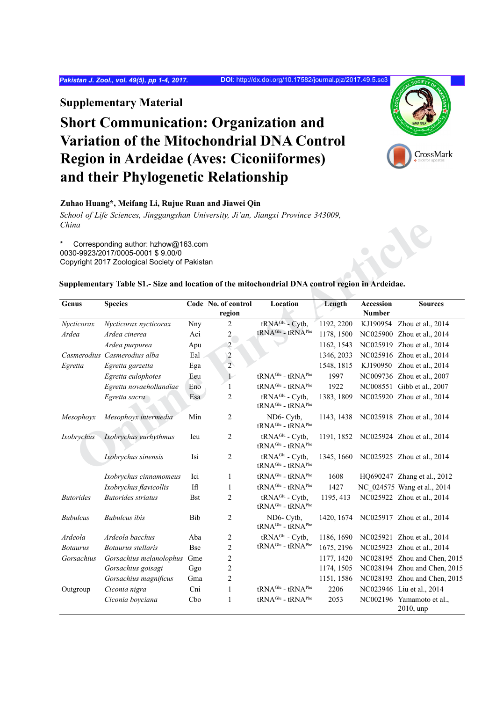## **Supplementary Material**

# **Short Communication: Organization and Variation of the Mitochondrial DNA Control Region in Ardeidae (Aves: Ciconiiformes) and their Phylogenetic Relationship**



### **Zuhao Huang\*, Meifang Li, Rujue Ruan and Jiawei Qin**

*School of Life Sciences, Jinggangshan University, Ji'an, Jiangxi Province 343009, China*

## **Supplementary Table S1.- Size and location of the mitochondrial DNA control region in Ardeidae.**

| China            |                                                                                                                           |            |                               |                                                                          |            |                     |                                        |
|------------------|---------------------------------------------------------------------------------------------------------------------------|------------|-------------------------------|--------------------------------------------------------------------------|------------|---------------------|----------------------------------------|
| *                | Corresponding author: hzhow@163.com<br>0030-9923/2017/0005-0001 \$9.00/0<br>Copyright 2017 Zoological Society of Pakistan |            |                               |                                                                          |            |                     |                                        |
|                  | Supplementary Table S1.- Size and location of the mitochondrial DNA control region in Ardeidae.                           |            |                               |                                                                          |            |                     |                                        |
| Genus            | <b>Species</b>                                                                                                            |            | Code No. of control<br>region | Location                                                                 | Length     | Accession<br>Number | <b>Sources</b>                         |
| Nycticorax       | Nycticorax nycticorax                                                                                                     | Nny        | 2                             | tRNA <sup>Glu</sup> - Cytb,                                              | 1192, 2200 | KJ190954            | Zhou et al., 2014                      |
| Ardea            | Ardea cinerea                                                                                                             | Aci        | $\overline{c}$                | tRNA <sup>Glu</sup> - tRNA <sup>Phe</sup>                                | 1178, 1500 |                     | NC025900 Zhou et al., 2014             |
|                  | Ardea purpurea                                                                                                            | Apu        | $\overline{\mathbf{c}}$       |                                                                          | 1162, 1543 |                     | NC025919 Zhou et al., 2014             |
|                  | Casmerodius Casmerodius alba                                                                                              | Eal        | $\overline{2}$                |                                                                          | 1346, 2033 |                     | NC025916 Zhou et al., 2014             |
| Egretta          | Egretta garzetta                                                                                                          | Ega        | $\overline{2}$                |                                                                          | 1548, 1815 |                     | KJ190950 Zhou et al., 2014             |
|                  | Egretta eulophotes                                                                                                        | Eeu        | $\mathbf{1}$                  | tRNA <sup>Glu</sup> - tRNA <sup>Phe</sup>                                | 1997       |                     | NC009736 Zhou et al., 2007             |
|                  | Egretta novaehollandiae                                                                                                   | Eno        | 1                             | $tRNA^{Glu}$ - $tRNA^{Phe}$                                              | 1922       |                     | NC008551 Gibb et al., 2007             |
|                  | Egretta sacra                                                                                                             | Esa        | 2                             | tRNA <sup>Glu</sup> - Cytb,<br>tRNA <sup>Glu</sup> - tRNA <sup>Phe</sup> | 1383, 1809 |                     | NC025920 Zhou et al., 2014             |
| Mesophoyx        | Mesophoyx intermedia                                                                                                      | Min        | $\overline{2}$                | ND6- Cytb,<br>tRNA <sup>Glu</sup> - tRNA <sup>Phe</sup>                  | 1143, 1438 |                     | NC025918 Zhou et al., 2014             |
| Ixobrychus       | Ixobrychus eurhythmus                                                                                                     | Ieu        | $\overline{2}$                | tRNA <sup>Glu</sup> - Cytb,<br>tRNA <sup>Glu</sup> - tRNA <sup>Phe</sup> | 1191, 1852 |                     | NC025924 Zhou et al., 2014             |
|                  | Ixobrychus sinensis                                                                                                       | Isi        | $\overline{c}$                | tRNA <sup>Glu</sup> - Cytb,<br>$tRNA^{Glu}$ - $tRNA^{Phe}$               |            |                     | 1345, 1660 NC025925 Zhou et al., 2014  |
|                  | Ixobrychus cinnamomeus                                                                                                    | Ici        | $\mathbf{1}$                  | $tRNA^{Glu}$ - $tRNA^{Phe}$                                              | 1608       |                     | HQ690247 Zhang et al., 2012            |
|                  | Ixobrychus flavicollis                                                                                                    | Ifl        | 1                             | tRNA <sup>Glu</sup> - tRNA <sup>Phe</sup>                                | 1427       |                     | NC 024575 Wang et al., 2014            |
| <b>Butorides</b> | <b>Butorides</b> striatus                                                                                                 | <b>Bst</b> | 2                             | tRNA <sup>Glu</sup> - Cytb,<br>$tRNA^{Glu}$ - $tRNA^{Phe}$               | 1195, 413  |                     | NC025922 Zhou et al., 2014             |
| <b>Bubulcus</b>  | <b>Bubulcus</b> ibis                                                                                                      | Bib        | $\overline{2}$                | ND6- Cytb,<br>$tRNAGlu - tRNAPhe$                                        | 1420, 1674 |                     | NC025917 Zhou et al., 2014             |
| Ardeola          | Ardeola bacchus                                                                                                           | Aba        | $\overline{c}$                | tRNA <sup>Glu</sup> - Cytb,                                              | 1186, 1690 |                     | NC025921 Zhou et al., 2014             |
| <b>Botaurus</b>  | Botaurus stellaris                                                                                                        | <b>Bse</b> | $\overline{c}$                | tRNA <sup>Glu</sup> - tRNA <sup>Phe</sup>                                | 1675, 2196 |                     | NC025923 Zhou et al., 2014             |
| Gorsachius       | Gorsachius melanolophus                                                                                                   | Gme        | $\overline{c}$                |                                                                          | 1177, 1420 |                     | NC028195 Zhou and Chen, 2015           |
|                  | Gorsachius goisagi                                                                                                        | Ggo        | $\overline{c}$                |                                                                          | 1174, 1505 |                     | NC028194 Zhou and Chen, 2015           |
|                  | Gorsachius magnificus                                                                                                     | Gma        | $\overline{c}$                |                                                                          | 1151, 1586 |                     | NC028193 Zhou and Chen, 2015           |
| Outgroup         | Ciconia nigra                                                                                                             | Cni        | $\mathbf{1}$                  | tRNA <sup>Glu</sup> - tRNA <sup>Phe</sup>                                | 2206       |                     | NC023946 Liu et al., 2014              |
|                  | Ciconia boyciana                                                                                                          | Cbo        | $\mathbf{1}$                  | $tRNA^{Glu}$ - $tRNA^{Phe}$                                              | 2053       |                     | NC002196 Yamamoto et al.,<br>2010, unp |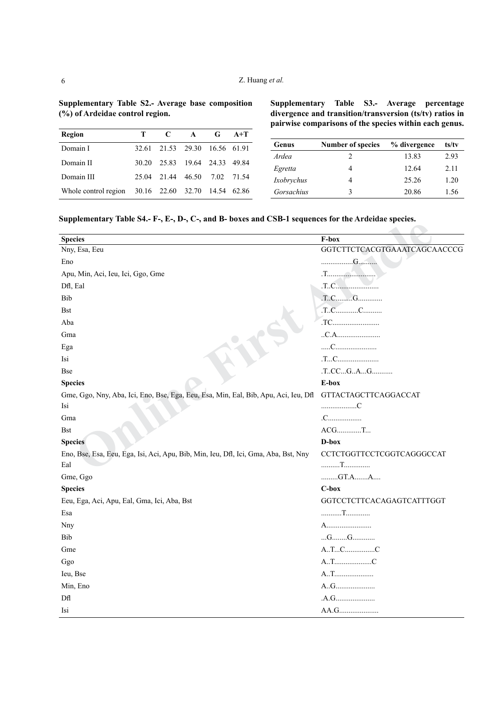| Region                                             | T.    | $\mathbf{C}$                  | $\mathbf{A}$ | G | $A+T$      |
|----------------------------------------------------|-------|-------------------------------|--------------|---|------------|
| Domain I                                           |       | 32.61 21.53 29.30 16.56 61.91 |              |   |            |
| Domain II                                          | 30.20 | 25 83 19 64 24 33 49 84       |              |   |            |
| Domain III                                         |       | 25.04 21.44 46.50             |              |   | 7 02 71 54 |
| Whole control region 30.16 22.60 32.70 14.54 62.86 |       |                               |              |   |            |

**Supplementary Table S2.- Average base composition** 

**(%) of Ardeidae control region.**

**Supplementary Table S3.- Average percentage divergence and transition/transversion (ts/tv) ratios in pairwise comparisons of the species within each genus.**

| Genus      | Number of species | % divergence | ts/tv |
|------------|-------------------|--------------|-------|
| Ardea      | 2                 | 13.83        | 2.93  |
| Egretta    |                   | 12.64        | 2.11  |
| Ixobrychus |                   | 25.26        | 1 20  |
| Gorsachius | 3                 | 20.86        | 1.56  |

**Supplementary Table S4.- F-, E-, D-, C-, and B- boxes and CSB-1 sequences for the Ardeidae species.**

| <b>Species</b>                                                                      | F-box                        |
|-------------------------------------------------------------------------------------|------------------------------|
| Nny, Esa, Eeu                                                                       | GGTCTTCTCACGTGAAATCAGCAACCCG |
| Eno                                                                                 | G                            |
| Apu, Min, Aci, Ieu, Ici, Ggo, Gme                                                   |                              |
| Dfl, Eal                                                                            | T.C.                         |
| Bib                                                                                 | $T.C.$ $G.$                  |
| <b>Bst</b>                                                                          | T.CC                         |
| Aba                                                                                 |                              |
| Gma                                                                                 | .C.A.                        |
| Ega                                                                                 |                              |
| Isi                                                                                 | .TC                          |
| <b>Bse</b>                                                                          | .TCCGAG                      |
| <b>Species</b>                                                                      | E-box                        |
| Gme, Ggo, Nny, Aba, Ici, Eno, Bse, Ega, Eeu, Esa, Min, Eal, Bib, Apu, Aci, Ieu, Dfl | <b>GTTACTAGCTTCAGGACCAT</b>  |
| Isi                                                                                 | C                            |
| Gma                                                                                 | .C                           |
| <b>Bst</b>                                                                          | $ACG$ T                      |
| <b>Species</b>                                                                      | D-box                        |
| Eno, Bse, Esa, Eeu, Ega, Isi, Aci, Apu, Bib, Min, Ieu, Dfl, Ici, Gma, Aba, Bst, Nny | CCTCTGGTTCCTCGGTCAGGGCCAT    |
| Eal                                                                                 | T                            |
| Gme, Ggo                                                                            | $$ $GT.A$ $$ $A$             |
| <b>Species</b>                                                                      | C-box                        |
| Eeu, Ega, Aci, Apu, Eal, Gma, Ici, Aba, Bst                                         | GGTCCTCTTCACAGAGTCATTTGGT    |
| Esa                                                                                 | T                            |
| Nny                                                                                 | A                            |
| Bib                                                                                 | $G$ $G$                      |
| Gme                                                                                 | ATC                          |
| Ggo                                                                                 | A.TC                         |
| Ieu, Bse                                                                            | AT                           |
| Min, Eno                                                                            | AG                           |
| Dfl                                                                                 |                              |
| Isi                                                                                 | AA.G                         |